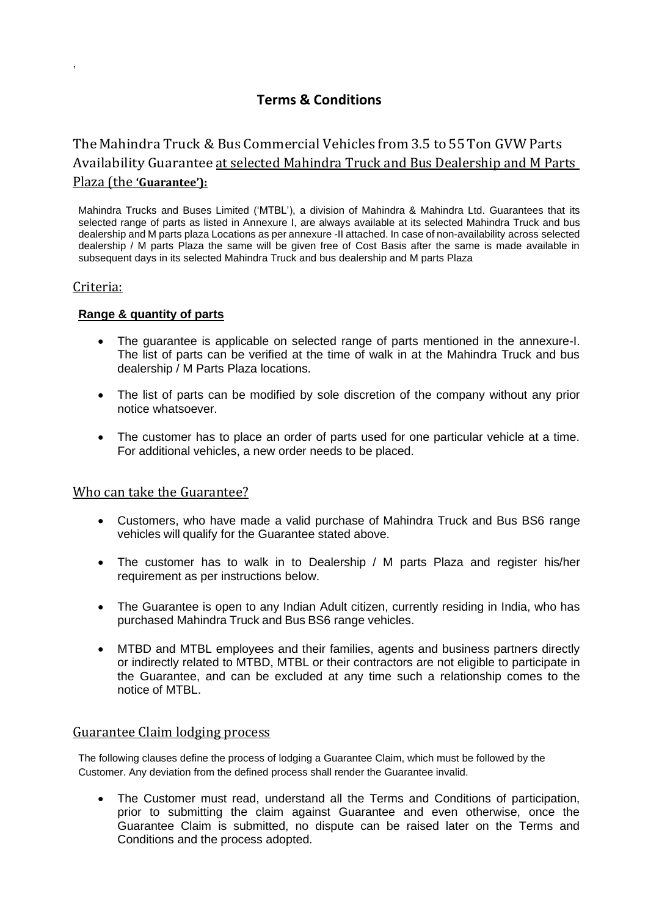# **Terms & Conditions**

# The Mahindra Truck & Bus Commercial Vehicles from 3.5 to55Ton GVWParts Availability Guarantee at selected Mahindra Truck and Bus Dealership and M Parts Plaza (the **'Guarantee'):**

Mahindra Trucks and Buses Limited ('MTBL'), a division of Mahindra & Mahindra Ltd. Guarantees that its selected range of parts as listed in Annexure I, are always available at its selected Mahindra Truck and bus dealership and M parts plaza Locations as per annexure -II attached. In case of non-availability across selected dealership / M parts Plaza the same will be given free of Cost Basis after the same is made available in subsequent days in its selected Mahindra Truck and bus dealership and M parts Plaza

# Criteria:

,

# **Range & quantity of parts**

- The guarantee is applicable on selected range of parts mentioned in the annexure-I. The list of parts can be verified at the time of walk in at the Mahindra Truck and bus dealership / M Parts Plaza locations.
- The list of parts can be modified by sole discretion of the company without any prior notice whatsoever.
- The customer has to place an order of parts used for one particular vehicle at a time. For additional vehicles, a new order needs to be placed.

## Who can take the Guarantee?

- Customers, who have made a valid purchase of Mahindra Truck and Bus BS6 range vehicles will qualify for the Guarantee stated above.
- The customer has to walk in to Dealership / M parts Plaza and register his/her requirement as per instructions below.
- The Guarantee is open to any Indian Adult citizen, currently residing in India, who has purchased Mahindra Truck and Bus BS6 range vehicles.
- MTBD and MTBL employees and their families, agents and business partners directly or indirectly related to MTBD, MTBL or their contractors are not eligible to participate in the Guarantee, and can be excluded at any time such a relationship comes to the notice of MTBL.

## Guarantee Claim lodging process

The following clauses define the process of lodging a Guarantee Claim, which must be followed by the Customer. Any deviation from the defined process shall render the Guarantee invalid.

• The Customer must read, understand all the Terms and Conditions of participation, prior to submitting the claim against Guarantee and even otherwise, once the Guarantee Claim is submitted, no dispute can be raised later on the Terms and Conditions and the process adopted.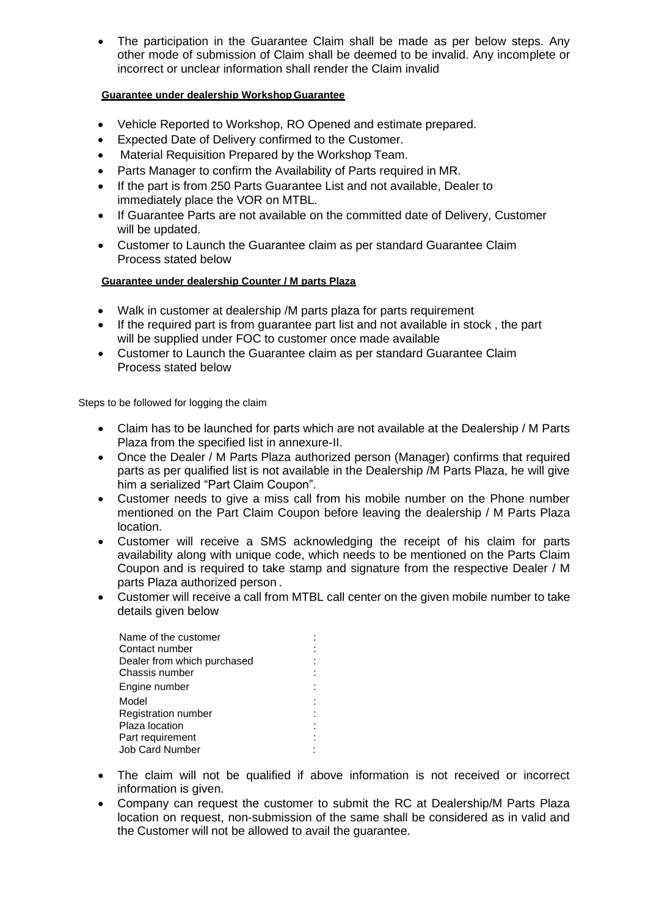• The participation in the Guarantee Claim shall be made as per below steps. Any other mode of submission of Claim shall be deemed to be invalid. Any incomplete or incorrect or unclear information shall render the Claim invalid

#### **Guarantee under dealership Workshop Guarantee**

- Vehicle Reported to Workshop, RO Opened and estimate prepared.
- Expected Date of Delivery confirmed to the Customer.
- Material Requisition Prepared by the Workshop Team.
- Parts Manager to confirm the Availability of Parts required in MR.
- If the part is from 250 Parts Guarantee List and not available, Dealer to immediately place the VOR on MTBL.
- If Guarantee Parts are not available on the committed date of Delivery, Customer will be updated.
- Customer to Launch the Guarantee claim as per standard Guarantee Claim Process stated below

#### **Guarantee under dealership Counter / M parts Plaza**

- Walk in customer at dealership /M parts plaza for parts requirement
- If the required part is from guarantee part list and not available in stock , the part will be supplied under FOC to customer once made available
- Customer to Launch the Guarantee claim as per standard Guarantee Claim Process stated below

Steps to be followed for logging the claim

- Claim has to be launched for parts which are not available at the Dealership / M Parts Plaza from the specified list in annexure-II.
- Once the Dealer / M Parts Plaza authorized person (Manager) confirms that required parts as per qualified list is not available in the Dealership /M Parts Plaza, he will give him a serialized "Part Claim Coupon".
- Customer needs to give a miss call from his mobile number on the Phone number mentioned on the Part Claim Coupon before leaving the dealership / M Parts Plaza location.
- Customer will receive a SMS acknowledging the receipt of his claim for parts availability along with unique code, which needs to be mentioned on the Parts Claim Coupon and is required to take stamp and signature from the respective Dealer / M parts Plaza authorized person .
- Customer will receive a call from MTBL call center on the given mobile number to take details given below

| Name of the customer        |  |
|-----------------------------|--|
| Contact number              |  |
| Dealer from which purchased |  |
| Chassis number              |  |
| Engine number               |  |
| Model                       |  |
| Registration number         |  |
| Plaza location              |  |
| Part requirement            |  |
| <b>Job Card Number</b>      |  |
|                             |  |

- The claim will not be qualified if above information is not received or incorrect information is given.
- Company can request the customer to submit the RC at Dealership/M Parts Plaza location on request, non-submission of the same shall be considered as in valid and the Customer will not be allowed to avail the guarantee.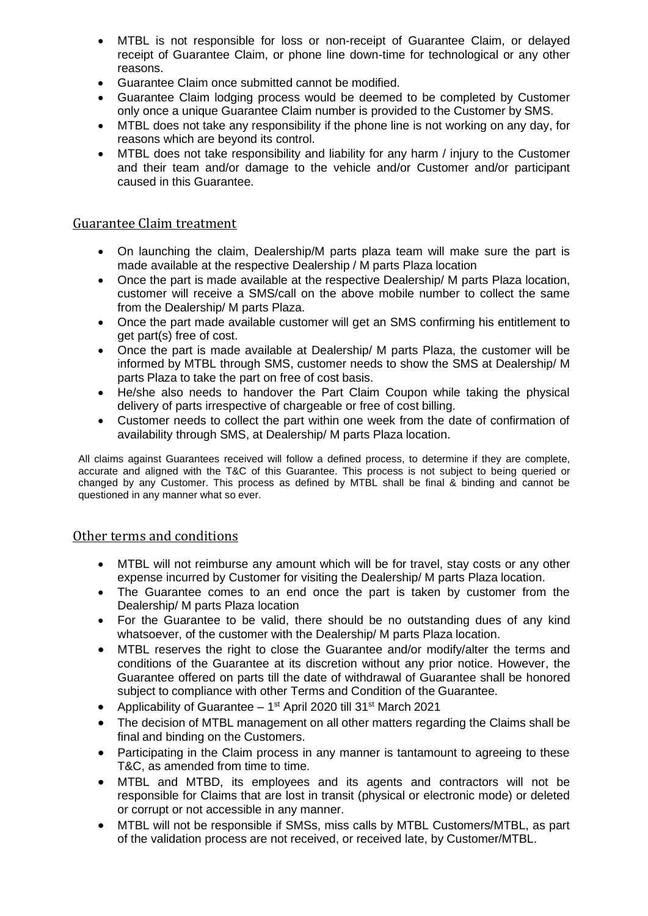- MTBL is not responsible for loss or non-receipt of Guarantee Claim, or delayed receipt of Guarantee Claim, or phone line down-time for technological or any other reasons.
- Guarantee Claim once submitted cannot be modified.
- Guarantee Claim lodging process would be deemed to be completed by Customer only once a unique Guarantee Claim number is provided to the Customer by SMS.
- MTBL does not take any responsibility if the phone line is not working on any day, for reasons which are beyond its control.
- MTBL does not take responsibility and liability for any harm / injury to the Customer and their team and/or damage to the vehicle and/or Customer and/or participant caused in this Guarantee.

# Guarantee Claim treatment

- On launching the claim, Dealership/M parts plaza team will make sure the part is made available at the respective Dealership / M parts Plaza location
- Once the part is made available at the respective Dealership/ M parts Plaza location, customer will receive a SMS/call on the above mobile number to collect the same from the Dealership/ M parts Plaza.
- Once the part made available customer will get an SMS confirming his entitlement to get part(s) free of cost.
- Once the part is made available at Dealership/ M parts Plaza, the customer will be informed by MTBL through SMS, customer needs to show the SMS at Dealership/ M parts Plaza to take the part on free of cost basis.
- He/she also needs to handover the Part Claim Coupon while taking the physical delivery of parts irrespective of chargeable or free of cost billing.
- Customer needs to collect the part within one week from the date of confirmation of availability through SMS, at Dealership/ M parts Plaza location.

All claims against Guarantees received will follow a defined process, to determine if they are complete, accurate and aligned with the T&C of this Guarantee. This process is not subject to being queried or changed by any Customer. This process as defined by MTBL shall be final & binding and cannot be questioned in any manner what so ever.

## Other terms and conditions

- MTBL will not reimburse any amount which will be for travel, stay costs or any other expense incurred by Customer for visiting the Dealership/ M parts Plaza location.
- The Guarantee comes to an end once the part is taken by customer from the Dealership/ M parts Plaza location
- For the Guarantee to be valid, there should be no outstanding dues of any kind whatsoever, of the customer with the Dealership/ M parts Plaza location.
- MTBL reserves the right to close the Guarantee and/or modify/alter the terms and conditions of the Guarantee at its discretion without any prior notice. However, the Guarantee offered on parts till the date of withdrawal of Guarantee shall be honored subject to compliance with other Terms and Condition of the Guarantee.
- Applicability of Guarantee  $-1<sup>st</sup>$  April 2020 till 31 $<sup>st</sup>$  March 2021</sup>
- The decision of MTBL management on all other matters regarding the Claims shall be final and binding on the Customers.
- Participating in the Claim process in any manner is tantamount to agreeing to these T&C, as amended from time to time.
- MTBL and MTBD, its employees and its agents and contractors will not be responsible for Claims that are lost in transit (physical or electronic mode) or deleted or corrupt or not accessible in any manner.
- MTBL will not be responsible if SMSs, miss calls by MTBL Customers/MTBL, as part of the validation process are not received, or received late, by Customer/MTBL.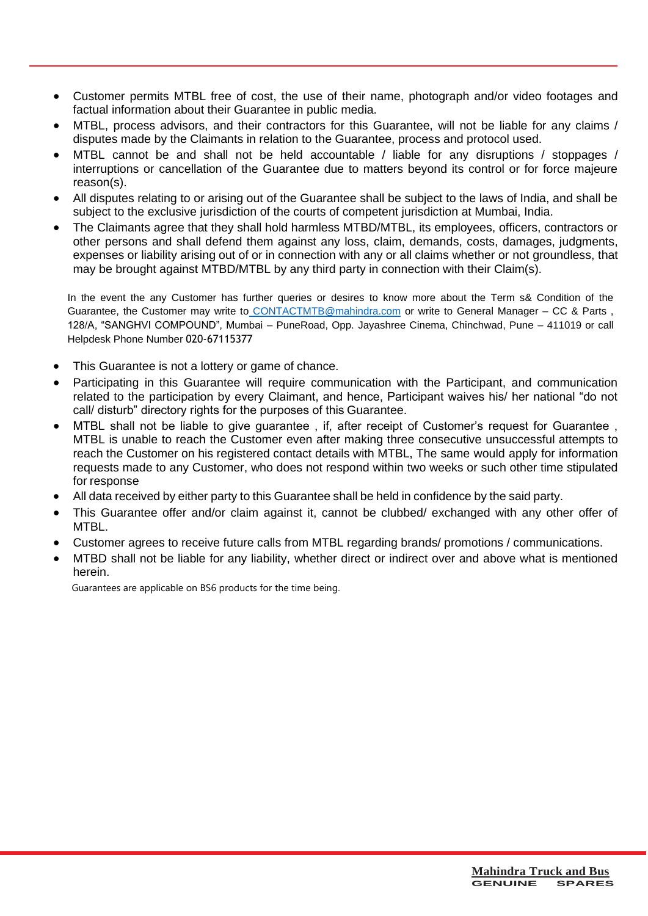- Customer permits MTBL free of cost, the use of their name, photograph and/or video footages and factual information about their Guarantee in public media.
- MTBL, process advisors, and their contractors for this Guarantee, will not be liable for any claims / disputes made by the Claimants in relation to the Guarantee, process and protocol used.
- MTBL cannot be and shall not be held accountable / liable for any disruptions / stoppages / interruptions or cancellation of the Guarantee due to matters beyond its control or for force majeure reason(s).
- All disputes relating to or arising out of the Guarantee shall be subject to the laws of India, and shall be subject to the exclusive jurisdiction of the courts of competent jurisdiction at Mumbai, India.
- The Claimants agree that they shall hold harmless MTBD/MTBL, its employees, officers, contractors or other persons and shall defend them against any loss, claim, demands, costs, damages, judgments, expenses or liability arising out of or in connection with any or all claims whether or not groundless, that may be brought against MTBD/MTBL by any third party in connection with their Claim(s).

In the event the any Customer has further queries or desires to know more about the Term s& Condition of the Guarantee, the Customer may write to [CONTACTMTB@mahindra.com](mailto:%20CONTACTMTB@mahindra.com) or write to General Manager – CC & Parts , 128/A, "SANGHVI COMPOUND", Mumbai – PuneRoad, Opp. Jayashree Cinema, Chinchwad, Pune – 411019 or call Helpdesk Phone Number 020-67115377

- This Guarantee is not a lottery or game of chance.
- Participating in this Guarantee will require communication with the Participant, and communication related to the participation by every Claimant, and hence, Participant waives his/ her national "do not call/ disturb" directory rights for the purposes of this Guarantee.
- MTBL shall not be liable to give guarantee , if, after receipt of Customer's request for Guarantee , MTBL is unable to reach the Customer even after making three consecutive unsuccessful attempts to reach the Customer on his registered contact details with MTBL, The same would apply for information requests made to any Customer, who does not respond within two weeks or such other time stipulated for response
- All data received by either party to this Guarantee shall be held in confidence by the said party.
- This Guarantee offer and/or claim against it, cannot be clubbed/ exchanged with any other offer of MTBL.
- Customer agrees to receive future calls from MTBL regarding brands/ promotions / communications.
- MTBD shall not be liable for any liability, whether direct or indirect over and above what is mentioned herein.

Guarantees are applicable on BS6 products for the time being.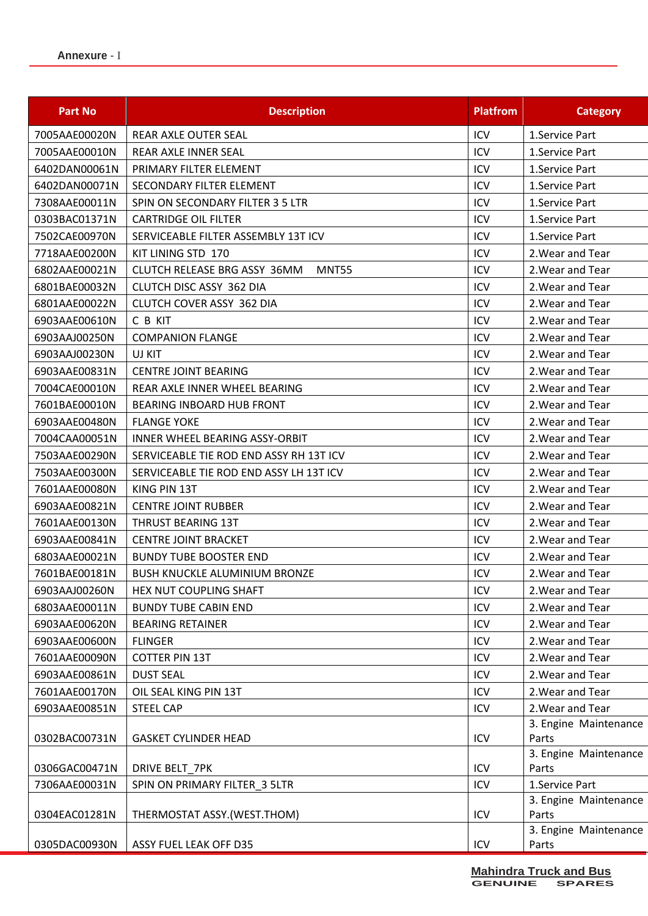| <b>Part No</b> | <b>Description</b>                      | <b>Platfrom</b> | <b>Category</b>                |
|----------------|-----------------------------------------|-----------------|--------------------------------|
| 7005AAE00020N  | REAR AXLE OUTER SEAL                    | ICV             | 1.Service Part                 |
| 7005AAE00010N  | REAR AXLE INNER SEAL                    | ICV             | 1.Service Part                 |
| 6402DAN00061N  | PRIMARY FILTER ELEMENT                  | ICV             | 1.Service Part                 |
| 6402DAN00071N  | SECONDARY FILTER ELEMENT                | ICV             | 1.Service Part                 |
| 7308AAE00011N  | SPIN ON SECONDARY FILTER 3 5 LTR        | ICV             | 1.Service Part                 |
| 0303BAC01371N  | <b>CARTRIDGE OIL FILTER</b>             | ICV             | 1.Service Part                 |
| 7502CAE00970N  | SERVICEABLE FILTER ASSEMBLY 13T ICV     | ICV             | 1.Service Part                 |
| 7718AAE00200N  | KIT LINING STD 170                      | ICV             | 2. Wear and Tear               |
| 6802AAE00021N  | CLUTCH RELEASE BRG ASSY 36MM<br>MNT55   | ICV             | 2. Wear and Tear               |
| 6801BAE00032N  | <b>CLUTCH DISC ASSY 362 DIA</b>         | ICV             | 2. Wear and Tear               |
| 6801AAE00022N  | CLUTCH COVER ASSY 362 DIA               | ICV             | 2. Wear and Tear               |
| 6903AAE00610N  | C B KIT                                 | ICV             | 2. Wear and Tear               |
| 6903AAJ00250N  | <b>COMPANION FLANGE</b>                 | ICV             | 2. Wear and Tear               |
| 6903AAJ00230N  | UJ KIT                                  | ICV             | 2. Wear and Tear               |
| 6903AAE00831N  | <b>CENTRE JOINT BEARING</b>             | ICV             | 2. Wear and Tear               |
| 7004CAE00010N  | REAR AXLE INNER WHEEL BEARING           | ICV             | 2. Wear and Tear               |
| 7601BAE00010N  | <b>BEARING INBOARD HUB FRONT</b>        | ICV             | 2. Wear and Tear               |
| 6903AAE00480N  | <b>FLANGE YOKE</b>                      | ICV             | 2. Wear and Tear               |
| 7004CAA00051N  | INNER WHEEL BEARING ASSY-ORBIT          | ICV             | 2. Wear and Tear               |
| 7503AAE00290N  | SERVICEABLE TIE ROD END ASSY RH 13T ICV | ICV             | 2. Wear and Tear               |
| 7503AAE00300N  | SERVICEABLE TIE ROD END ASSY LH 13T ICV | ICV             | 2. Wear and Tear               |
| 7601AAE00080N  | KING PIN 13T                            | ICV             | 2. Wear and Tear               |
| 6903AAE00821N  | <b>CENTRE JOINT RUBBER</b>              | ICV             | 2. Wear and Tear               |
| 7601AAE00130N  | <b>THRUST BEARING 13T</b>               | ICV             | 2. Wear and Tear               |
| 6903AAE00841N  | <b>CENTRE JOINT BRACKET</b>             | ICV             | 2. Wear and Tear               |
| 6803AAE00021N  | <b>BUNDY TUBE BOOSTER END</b>           | ICV             | 2. Wear and Tear               |
| 7601BAE00181N  | <b>BUSH KNUCKLE ALUMINIUM BRONZE</b>    | ICV             | 2. Wear and Tear               |
| 6903AAJ00260N  | HEX NUT COUPLING SHAFT                  | ICV             | 2. Wear and Tear               |
| 6803AAE00011N  | <b>BUNDY TUBE CABIN END</b>             | ICV             | 2. Wear and Tear               |
| 6903AAE00620N  | <b>BEARING RETAINER</b>                 | ICV             | 2. Wear and Tear               |
| 6903AAE00600N  | <b>FLINGER</b>                          | ICV             | 2. Wear and Tear               |
| 7601AAE00090N  | <b>COTTER PIN 13T</b>                   | ICV             | 2. Wear and Tear               |
| 6903AAE00861N  | <b>DUST SEAL</b>                        | ICV             | 2. Wear and Tear               |
| 7601AAE00170N  | OIL SEAL KING PIN 13T                   | ICV             | 2. Wear and Tear               |
| 6903AAE00851N  | <b>STEEL CAP</b>                        | ICV             | 2. Wear and Tear               |
|                |                                         |                 | 3. Engine Maintenance          |
| 0302BAC00731N  | <b>GASKET CYLINDER HEAD</b>             | ICV             | Parts                          |
|                |                                         |                 | 3. Engine Maintenance          |
| 0306GAC00471N  | DRIVE BELT 7PK                          | ICV             | Parts                          |
| 7306AAE00031N  | SPIN ON PRIMARY FILTER_3 5LTR           | ICV             | 1.Service Part                 |
| 0304EAC01281N  | THERMOSTAT ASSY.(WEST.THOM)             | ICV             | 3. Engine Maintenance<br>Parts |
|                |                                         |                 | 3. Engine Maintenance          |
| 0305DAC00930N  | ASSY FUEL LEAK OFF D35                  | ICV             | Parts                          |
|                |                                         |                 |                                |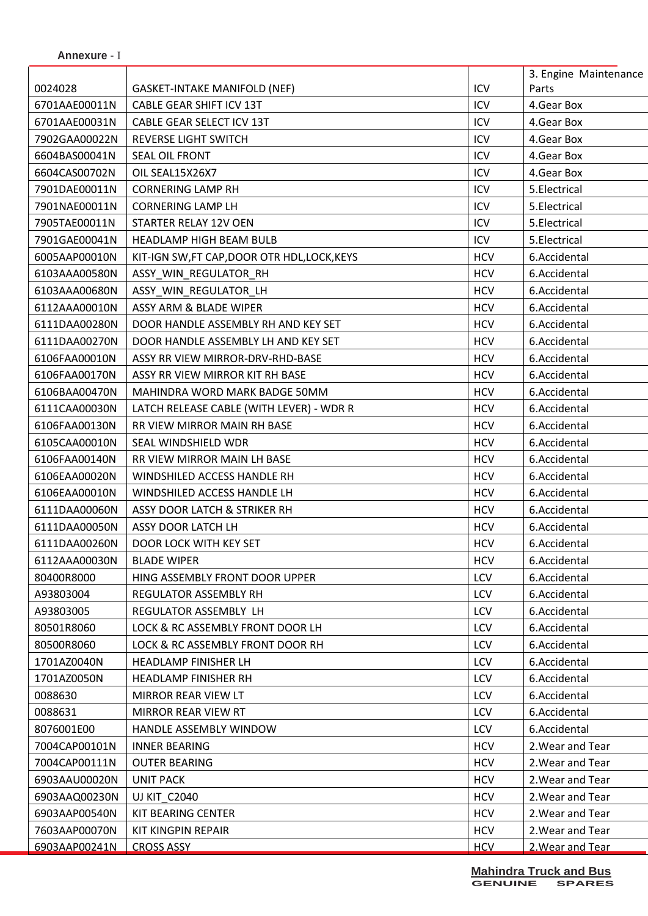|               |                                          |            | 3. Engine Maintenance |
|---------------|------------------------------------------|------------|-----------------------|
| 0024028       | <b>GASKET-INTAKE MANIFOLD (NEF)</b>      | ICV        | Parts                 |
| 6701AAE00011N | CABLE GEAR SHIFT ICV 13T                 | ICV        | 4.Gear Box            |
| 6701AAE00031N | CABLE GEAR SELECT ICV 13T                | ICV        | 4. Gear Box           |
| 7902GAA00022N | <b>REVERSE LIGHT SWITCH</b>              | ICV        | 4. Gear Box           |
| 6604BAS00041N | SEAL OIL FRONT                           | ICV        | 4.Gear Box            |
| 6604CAS00702N | OIL SEAL15X26X7                          | ICV        | 4. Gear Box           |
| 7901DAE00011N | <b>CORNERING LAMP RH</b>                 | ICV        | 5.Electrical          |
| 7901NAE00011N | <b>CORNERING LAMP LH</b>                 | ICV        | 5.Electrical          |
| 7905TAE00011N | STARTER RELAY 12V OEN                    | ICV        | 5.Electrical          |
| 7901GAE00041N | HEADLAMP HIGH BEAM BULB                  | ICV        | 5.Electrical          |
| 6005AAP00010N | KIT-IGN SW,FT CAP,DOOR OTR HDL,LOCK,KEYS | <b>HCV</b> | 6.Accidental          |
| 6103AAA00580N | ASSY_WIN_REGULATOR_RH                    | <b>HCV</b> | 6.Accidental          |
| 6103AAA00680N | ASSY WIN REGULATOR LH                    | <b>HCV</b> | 6.Accidental          |
| 6112AAA00010N | ASSY ARM & BLADE WIPER                   | <b>HCV</b> | 6.Accidental          |
| 6111DAA00280N | DOOR HANDLE ASSEMBLY RH AND KEY SET      | <b>HCV</b> | 6.Accidental          |
| 6111DAA00270N | DOOR HANDLE ASSEMBLY LH AND KEY SET      | <b>HCV</b> | 6.Accidental          |
| 6106FAA00010N | ASSY RR VIEW MIRROR-DRV-RHD-BASE         | <b>HCV</b> | 6.Accidental          |
| 6106FAA00170N | ASSY RR VIEW MIRROR KIT RH BASE          | <b>HCV</b> | 6.Accidental          |
| 6106BAA00470N | MAHINDRA WORD MARK BADGE 50MM            | <b>HCV</b> | 6.Accidental          |
| 6111CAA00030N | LATCH RELEASE CABLE (WITH LEVER) - WDR R | <b>HCV</b> | 6.Accidental          |
| 6106FAA00130N | RR VIEW MIRROR MAIN RH BASE              | <b>HCV</b> | 6.Accidental          |
| 6105CAA00010N | SEAL WINDSHIELD WDR                      | <b>HCV</b> | 6.Accidental          |
| 6106FAA00140N | RR VIEW MIRROR MAIN LH BASE              | <b>HCV</b> | 6.Accidental          |
| 6106EAA00020N | WINDSHILED ACCESS HANDLE RH              | <b>HCV</b> | 6.Accidental          |
| 6106EAA00010N | WINDSHILED ACCESS HANDLE LH              | <b>HCV</b> | 6.Accidental          |
| 6111DAA00060N | ASSY DOOR LATCH & STRIKER RH             | <b>HCV</b> | 6.Accidental          |
| 6111DAA00050N | ASSY DOOR LATCH LH                       | <b>HCV</b> | 6.Accidental          |
| 6111DAA00260N | DOOR LOCK WITH KEY SET                   | <b>HCV</b> | 6.Accidental          |
| 6112AAA00030N | <b>BLADE WIPER</b>                       | <b>HCV</b> | 6.Accidental          |
| 80400R8000    | HING ASSEMBLY FRONT DOOR UPPER           | LCV        | 6.Accidental          |
| A93803004     | <b>REGULATOR ASSEMBLY RH</b>             | LCV        | 6.Accidental          |
| A93803005     | REGULATOR ASSEMBLY LH                    | <b>LCV</b> | 6.Accidental          |
| 80501R8060    | LOCK & RC ASSEMBLY FRONT DOOR LH         | LCV        | 6.Accidental          |
| 80500R8060    | LOCK & RC ASSEMBLY FRONT DOOR RH         | <b>LCV</b> | 6.Accidental          |
| 1701AZ0040N   | HEADLAMP FINISHER LH                     | LCV        | 6.Accidental          |
| 1701AZ0050N   | HEADLAMP FINISHER RH                     | LCV        | 6.Accidental          |
| 0088630       | MIRROR REAR VIEW LT                      | <b>LCV</b> | 6.Accidental          |
| 0088631       | MIRROR REAR VIEW RT                      | LCV        | 6.Accidental          |
| 8076001E00    | HANDLE ASSEMBLY WINDOW                   | <b>LCV</b> | 6.Accidental          |
| 7004CAP00101N | <b>INNER BEARING</b>                     | <b>HCV</b> | 2. Wear and Tear      |
| 7004CAP00111N | <b>OUTER BEARING</b>                     | <b>HCV</b> | 2. Wear and Tear      |
| 6903AAU00020N | <b>UNIT PACK</b>                         | <b>HCV</b> | 2. Wear and Tear      |
| 6903AAQ00230N | <b>UJ KIT C2040</b>                      | <b>HCV</b> | 2. Wear and Tear      |
| 6903AAP00540N | KIT BEARING CENTER                       | <b>HCV</b> | 2. Wear and Tear      |
| 7603AAP00070N | KIT KINGPIN REPAIR                       | <b>HCV</b> | 2. Wear and Tear      |
| 6903AAP00241N | <b>CROSS ASSY</b>                        | <b>HCV</b> | 2. Wear and Tear      |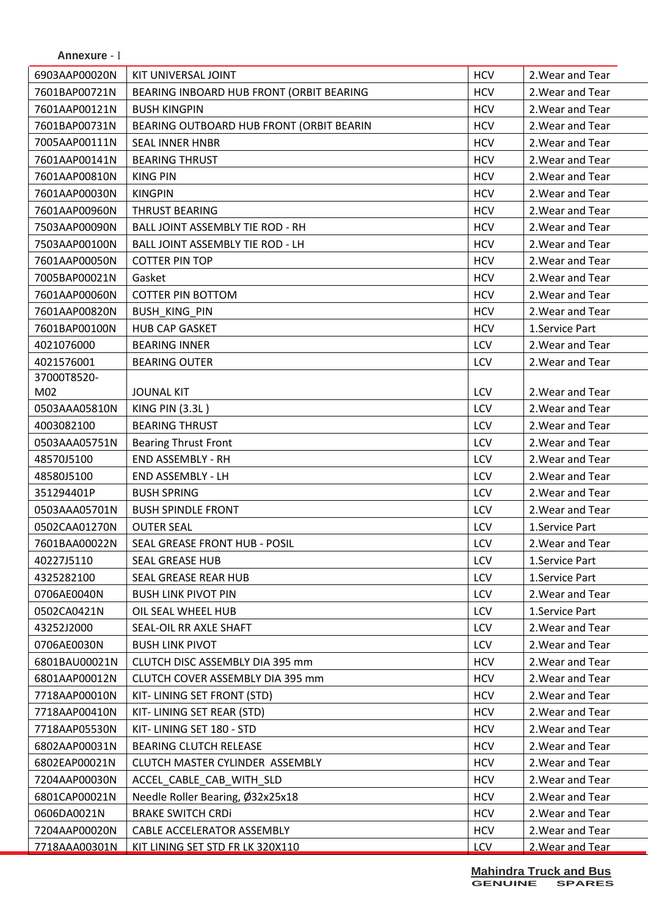| <b>Annexure -</b> |  |  |
|-------------------|--|--|
|-------------------|--|--|

| 6903AAP00020N | KIT UNIVERSAL JOINT                      | <b>HCV</b> | 2. Wear and Tear |
|---------------|------------------------------------------|------------|------------------|
| 7601BAP00721N | BEARING INBOARD HUB FRONT (ORBIT BEARING | <b>HCV</b> | 2. Wear and Tear |
| 7601AAP00121N | <b>BUSH KINGPIN</b>                      | <b>HCV</b> | 2. Wear and Tear |
| 7601BAP00731N | BEARING OUTBOARD HUB FRONT (ORBIT BEARIN | <b>HCV</b> | 2. Wear and Tear |
| 7005AAP00111N | <b>SEAL INNER HNBR</b>                   | <b>HCV</b> | 2. Wear and Tear |
| 7601AAP00141N | <b>BEARING THRUST</b>                    | <b>HCV</b> | 2. Wear and Tear |
| 7601AAP00810N | <b>KING PIN</b>                          | <b>HCV</b> | 2. Wear and Tear |
| 7601AAP00030N | <b>KINGPIN</b>                           | <b>HCV</b> | 2. Wear and Tear |
| 7601AAP00960N | THRUST BEARING                           | <b>HCV</b> | 2. Wear and Tear |
| 7503AAP00090N | BALL JOINT ASSEMBLY TIE ROD - RH         | <b>HCV</b> | 2. Wear and Tear |
| 7503AAP00100N | BALL JOINT ASSEMBLY TIE ROD - LH         | <b>HCV</b> | 2. Wear and Tear |
| 7601AAP00050N | <b>COTTER PIN TOP</b>                    | <b>HCV</b> | 2. Wear and Tear |
| 7005BAP00021N | Gasket                                   | <b>HCV</b> | 2. Wear and Tear |
| 7601AAP00060N | <b>COTTER PIN BOTTOM</b>                 | <b>HCV</b> | 2. Wear and Tear |
| 7601AAP00820N | <b>BUSH KING PIN</b>                     | <b>HCV</b> | 2. Wear and Tear |
| 7601BAP00100N | <b>HUB CAP GASKET</b>                    | <b>HCV</b> | 1.Service Part   |
| 4021076000    | <b>BEARING INNER</b>                     | LCV        | 2. Wear and Tear |
| 4021576001    | <b>BEARING OUTER</b>                     | LCV        | 2. Wear and Tear |
| 37000T8520-   |                                          |            |                  |
| M02           | <b>JOUNAL KIT</b>                        | LCV        | 2. Wear and Tear |
| 0503AAA05810N | <b>KING PIN (3.3L)</b>                   | LCV        | 2. Wear and Tear |
| 4003082100    | <b>BEARING THRUST</b>                    | LCV        | 2. Wear and Tear |
| 0503AAA05751N | <b>Bearing Thrust Front</b>              | LCV        | 2. Wear and Tear |
| 48570J5100    | <b>END ASSEMBLY - RH</b>                 | LCV        | 2. Wear and Tear |
| 48580J5100    | END ASSEMBLY - LH                        | LCV        | 2. Wear and Tear |
| 351294401P    | <b>BUSH SPRING</b>                       | LCV        | 2. Wear and Tear |
| 0503AAA05701N | <b>BUSH SPINDLE FRONT</b>                | LCV        | 2. Wear and Tear |
| 0502CAA01270N | <b>OUTER SEAL</b>                        | LCV        | 1.Service Part   |
| 7601BAA00022N | <b>SEAL GREASE FRONT HUB - POSIL</b>     | LCV        | 2. Wear and Tear |
| 40227J5110    | <b>SEAL GREASE HUB</b>                   | LCV        | 1.Service Part   |
| 4325282100    | SEAL GREASE REAR HUB                     | <b>LCV</b> | 1.Service Part   |
| 0706AE0040N   | <b>BUSH LINK PIVOT PIN</b>               | LCV        | 2. Wear and Tear |
| 0502CA0421N   | OIL SEAL WHEEL HUB                       | <b>LCV</b> | 1.Service Part   |
| 43252J2000    | SEAL-OIL RR AXLE SHAFT                   | LCV        | 2. Wear and Tear |
| 0706AE0030N   | <b>BUSH LINK PIVOT</b>                   | LCV        | 2. Wear and Tear |
| 6801BAU00021N | CLUTCH DISC ASSEMBLY DIA 395 mm          | <b>HCV</b> | 2. Wear and Tear |
| 6801AAP00012N | CLUTCH COVER ASSEMBLY DIA 395 mm         | <b>HCV</b> | 2. Wear and Tear |
| 7718AAP00010N | KIT-LINING SET FRONT (STD)               | <b>HCV</b> | 2. Wear and Tear |
| 7718AAP00410N | KIT-LINING SET REAR (STD)                | <b>HCV</b> | 2. Wear and Tear |
| 7718AAP05530N | KIT-LINING SET 180 - STD                 | <b>HCV</b> | 2. Wear and Tear |
| 6802AAP00031N | BEARING CLUTCH RELEASE                   | <b>HCV</b> | 2. Wear and Tear |
| 6802EAP00021N | CLUTCH MASTER CYLINDER ASSEMBLY          | <b>HCV</b> | 2. Wear and Tear |
| 7204AAP00030N | ACCEL CABLE CAB WITH SLD                 | <b>HCV</b> | 2. Wear and Tear |
| 6801CAP00021N | Needle Roller Bearing, Ø32x25x18         | <b>HCV</b> | 2. Wear and Tear |
| 0606DA0021N   | <b>BRAKE SWITCH CRDI</b>                 | <b>HCV</b> | 2. Wear and Tear |
| 7204AAP00020N | CABLE ACCELERATOR ASSEMBLY               | <b>HCV</b> | 2. Wear and Tear |
| 7718AAA00301N | KIT LINING SET STD FR LK 320X110         | <b>LCV</b> | 2. Wear and Tear |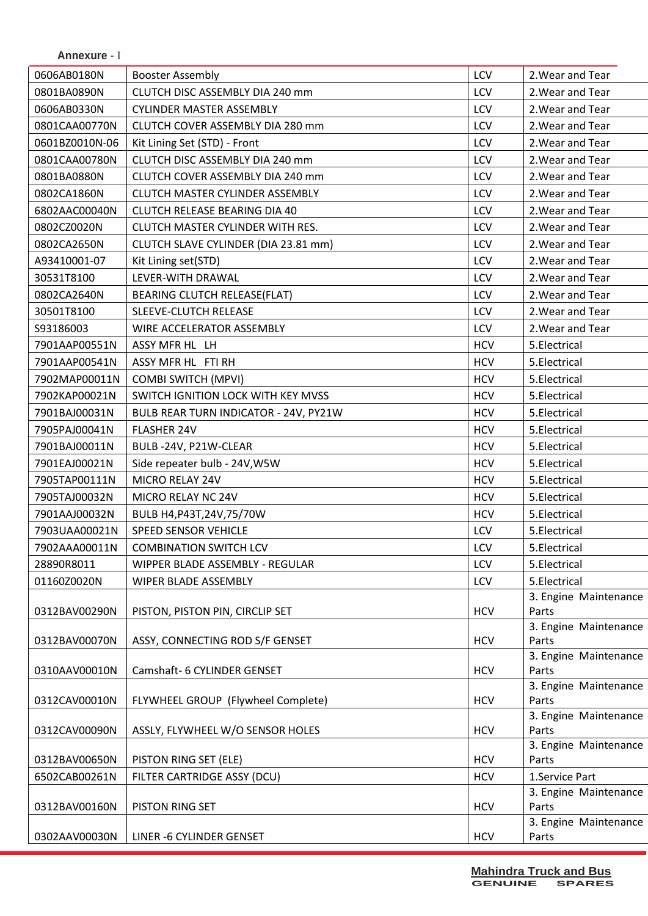| 0606AB0180N<br><b>Booster Assembly</b>      |                                       | LCV        | 2. Wear and Tear                        |
|---------------------------------------------|---------------------------------------|------------|-----------------------------------------|
| 0801BA0890N                                 | CLUTCH DISC ASSEMBLY DIA 240 mm       | LCV        | 2. Wear and Tear                        |
| 0606AB0330N                                 | <b>CYLINDER MASTER ASSEMBLY</b>       | LCV        | 2. Wear and Tear                        |
| 0801CAA00770N                               | CLUTCH COVER ASSEMBLY DIA 280 mm      | LCV        | 2. Wear and Tear                        |
| 0601BZ0010N-06                              | Kit Lining Set (STD) - Front          | LCV        | 2. Wear and Tear                        |
| 0801CAA00780N                               | CLUTCH DISC ASSEMBLY DIA 240 mm       | LCV        | 2. Wear and Tear                        |
| 0801BA0880N                                 | CLUTCH COVER ASSEMBLY DIA 240 mm      | LCV        | 2. Wear and Tear                        |
| 0802CA1860N                                 | CLUTCH MASTER CYLINDER ASSEMBLY       | LCV        | 2. Wear and Tear                        |
| 6802AAC00040N                               | CLUTCH RELEASE BEARING DIA 40         | <b>LCV</b> | 2. Wear and Tear                        |
| 0802CZ0020N                                 | CLUTCH MASTER CYLINDER WITH RES.      | LCV        | 2. Wear and Tear                        |
| 0802CA2650N                                 | CLUTCH SLAVE CYLINDER (DIA 23.81 mm)  | LCV        | 2. Wear and Tear                        |
| A93410001-07<br>Kit Lining set(STD)         |                                       | LCV        | 2. Wear and Tear                        |
| 30531T8100<br>LEVER-WITH DRAWAL             |                                       | LCV        | 2. Wear and Tear                        |
| 0802CA2640N                                 | BEARING CLUTCH RELEASE(FLAT)          | LCV        | 2. Wear and Tear                        |
| 30501T8100                                  | SLEEVE-CLUTCH RELEASE                 | LCV        | 2. Wear and Tear                        |
| S93186003                                   | WIRE ACCELERATOR ASSEMBLY             | LCV        | 2. Wear and Tear                        |
| 7901AAP00551N<br>ASSY MFR HL LH             |                                       | <b>HCV</b> | 5.Electrical                            |
| 7901AAP00541N<br>ASSY MFR HL FTI RH         |                                       | <b>HCV</b> | 5.Electrical                            |
| 7902MAP00011N<br><b>COMBI SWITCH (MPVI)</b> |                                       | <b>HCV</b> | 5.Electrical                            |
| 7902KAP00021N                               | SWITCH IGNITION LOCK WITH KEY MVSS    | <b>HCV</b> | 5.Electrical                            |
| 7901BAJ00031N                               | BULB REAR TURN INDICATOR - 24V, PY21W | <b>HCV</b> | 5.Electrical                            |
| 7905PAJ00041N<br><b>FLASHER 24V</b>         |                                       | <b>HCV</b> | 5.Electrical                            |
| 7901BAJ00011N                               | BULB-24V, P21W-CLEAR                  | <b>HCV</b> | 5.Electrical                            |
| 7901EAJ00021N                               | Side repeater bulb - 24V, W5W         | <b>HCV</b> | 5.Electrical                            |
| 7905TAP00111N<br>MICRO RELAY 24V            |                                       | <b>HCV</b> | 5.Electrical                            |
| 7905TAJ00032N<br>MICRO RELAY NC 24V         |                                       | <b>HCV</b> | 5.Electrical                            |
| 7901AAJ00032N                               |                                       | <b>HCV</b> | 5.Electrical                            |
| SPEED SENSOR VEHICLE                        | BULB H4, P43T, 24V, 75/70W            | LCV        |                                         |
| 7903UAA00021N                               |                                       |            | 5.Electrical                            |
| 7902AAA00011N                               | <b>COMBINATION SWITCH LCV</b>         | LCV        | 5.Electrical                            |
| 28890R8011                                  | WIPPER BLADE ASSEMBLY - REGULAR       | LCV        | 5.Electrical                            |
| 01160Z0020N                                 | WIPER BLADE ASSEMBLY                  | LCV        | 5.Electrical                            |
| 0312BAV00290N                               | PISTON, PISTON PIN, CIRCLIP SET       | <b>HCV</b> | 3. Engine Maintenance<br>Parts          |
|                                             |                                       |            | 3. Engine Maintenance                   |
| 0312BAV00070N                               | ASSY, CONNECTING ROD S/F GENSET       | <b>HCV</b> | Parts                                   |
|                                             |                                       |            | 3. Engine Maintenance                   |
| 0310AAV00010N                               | Camshaft- 6 CYLINDER GENSET           | <b>HCV</b> | Parts                                   |
|                                             |                                       |            | 3. Engine Maintenance                   |
| 0312CAV00010N                               | FLYWHEEL GROUP (Flywheel Complete)    | <b>HCV</b> | Parts                                   |
|                                             |                                       |            | 3. Engine Maintenance                   |
| 0312CAV00090N                               | ASSLY, FLYWHEEL W/O SENSOR HOLES      | <b>HCV</b> | Parts                                   |
| 0312BAV00650N                               |                                       | <b>HCV</b> | 3. Engine Maintenance<br>Parts          |
| PISTON RING SET (ELE)                       |                                       |            |                                         |
| 6502CAB00261N                               | FILTER CARTRIDGE ASSY (DCU)           | <b>HCV</b> | 1.Service Part<br>3. Engine Maintenance |
| 0312BAV00160N<br>PISTON RING SET            |                                       | <b>HCV</b> | Parts                                   |
|                                             |                                       |            | 3. Engine Maintenance                   |
| 0302AAV00030N<br>LINER -6 CYLINDER GENSET   |                                       | <b>HCV</b> | Parts                                   |

**Annexure** - I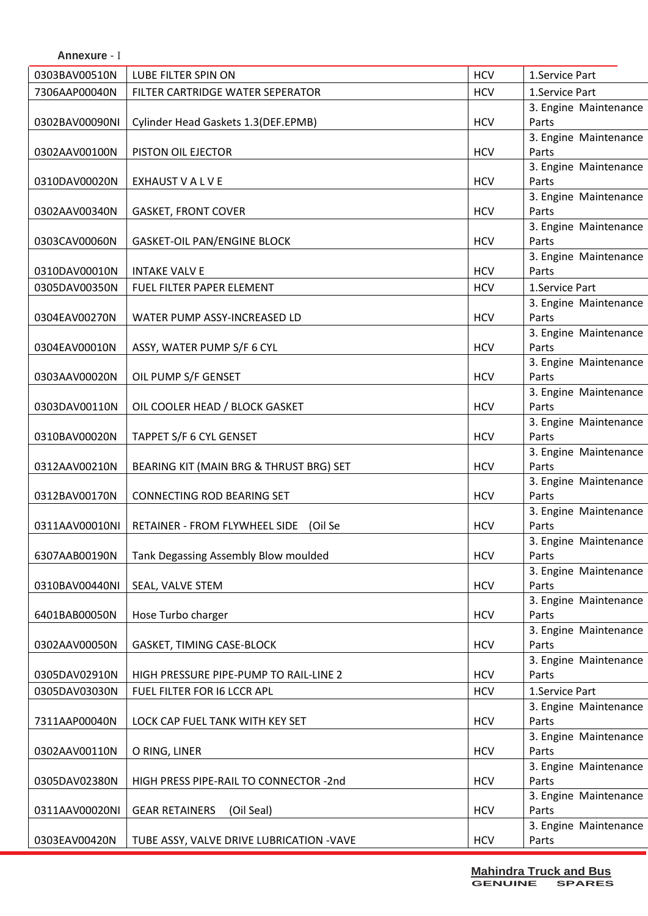| Annexure - I   |                                          |            |                                |
|----------------|------------------------------------------|------------|--------------------------------|
| 0303BAV00510N  | LUBE FILTER SPIN ON                      | <b>HCV</b> | 1.Service Part                 |
| 7306AAP00040N  | FILTER CARTRIDGE WATER SEPERATOR         | <b>HCV</b> | 1.Service Part                 |
|                |                                          |            | 3. Engine Maintenance          |
| 0302BAV00090NI | Cylinder Head Gaskets 1.3 (DEF.EPMB)     | <b>HCV</b> | Parts                          |
|                |                                          |            | 3. Engine Maintenance          |
| 0302AAV00100N  | PISTON OIL EJECTOR                       | <b>HCV</b> | Parts                          |
|                |                                          |            | 3. Engine Maintenance          |
| 0310DAV00020N  | EXHAUST V A L V E                        | <b>HCV</b> | Parts                          |
|                |                                          |            | 3. Engine Maintenance          |
| 0302AAV00340N  | <b>GASKET, FRONT COVER</b>               | <b>HCV</b> | Parts                          |
| 0303CAV00060N  | <b>GASKET-OIL PAN/ENGINE BLOCK</b>       | <b>HCV</b> | 3. Engine Maintenance<br>Parts |
|                |                                          |            | 3. Engine Maintenance          |
| 0310DAV00010N  | <b>INTAKE VALV E</b>                     | <b>HCV</b> | Parts                          |
| 0305DAV00350N  | FUEL FILTER PAPER ELEMENT                | <b>HCV</b> | 1.Service Part                 |
|                |                                          |            | 3. Engine Maintenance          |
| 0304EAV00270N  | WATER PUMP ASSY-INCREASED LD             | <b>HCV</b> | Parts                          |
|                |                                          |            | 3. Engine Maintenance          |
| 0304EAV00010N  | ASSY, WATER PUMP S/F 6 CYL               | <b>HCV</b> | Parts                          |
|                |                                          |            | 3. Engine Maintenance          |
| 0303AAV00020N  | OIL PUMP S/F GENSET                      | <b>HCV</b> | Parts                          |
|                |                                          |            | 3. Engine Maintenance          |
| 0303DAV00110N  | OIL COOLER HEAD / BLOCK GASKET           | <b>HCV</b> | Parts                          |
|                |                                          |            | 3. Engine Maintenance          |
| 0310BAV00020N  | TAPPET S/F 6 CYL GENSET                  | <b>HCV</b> | Parts                          |
|                |                                          |            | 3. Engine Maintenance          |
| 0312AAV00210N  | BEARING KIT (MAIN BRG & THRUST BRG) SET  | <b>HCV</b> | Parts                          |
|                |                                          |            | 3. Engine Maintenance          |
| 0312BAV00170N  | <b>CONNECTING ROD BEARING SET</b>        | <b>HCV</b> | Parts                          |
| 0311AAV00010NI | RETAINER - FROM FLYWHEEL SIDE (Oil Se    | <b>HCV</b> | 3. Engine Maintenance<br>Parts |
|                |                                          |            | 3. Engine Maintenance          |
| 6307AAB00190N  | Tank Degassing Assembly Blow moulded     | <b>HCV</b> | Parts                          |
|                |                                          |            | 3. Engine Maintenance          |
| 0310BAV00440NI | SEAL, VALVE STEM                         | <b>HCV</b> | Parts                          |
|                |                                          |            | 3. Engine Maintenance          |
| 6401BAB00050N  | Hose Turbo charger                       | <b>HCV</b> | Parts                          |
|                |                                          |            | 3. Engine Maintenance          |
| 0302AAV00050N  | GASKET, TIMING CASE-BLOCK                | <b>HCV</b> | Parts                          |
|                |                                          |            | 3. Engine Maintenance          |
| 0305DAV02910N  | HIGH PRESSURE PIPE-PUMP TO RAIL-LINE 2   | <b>HCV</b> | Parts                          |
| 0305DAV03030N  | FUEL FILTER FOR 16 LCCR APL              | <b>HCV</b> | 1.Service Part                 |
|                |                                          |            | 3. Engine Maintenance          |
| 7311AAP00040N  | LOCK CAP FUEL TANK WITH KEY SET          | <b>HCV</b> | Parts                          |
|                |                                          |            | 3. Engine Maintenance          |
| 0302AAV00110N  | O RING, LINER                            | <b>HCV</b> | Parts                          |
|                |                                          |            | 3. Engine Maintenance          |
| 0305DAV02380N  | HIGH PRESS PIPE-RAIL TO CONNECTOR -2nd   | <b>HCV</b> | Parts<br>3. Engine Maintenance |
| 0311AAV00020NI | (Oil Seal)<br><b>GEAR RETAINERS</b>      | <b>HCV</b> | Parts                          |
|                |                                          |            | 3. Engine Maintenance          |
| 0303EAV00420N  | TUBE ASSY, VALVE DRIVE LUBRICATION -VAVE | <b>HCV</b> | Parts                          |
|                |                                          |            |                                |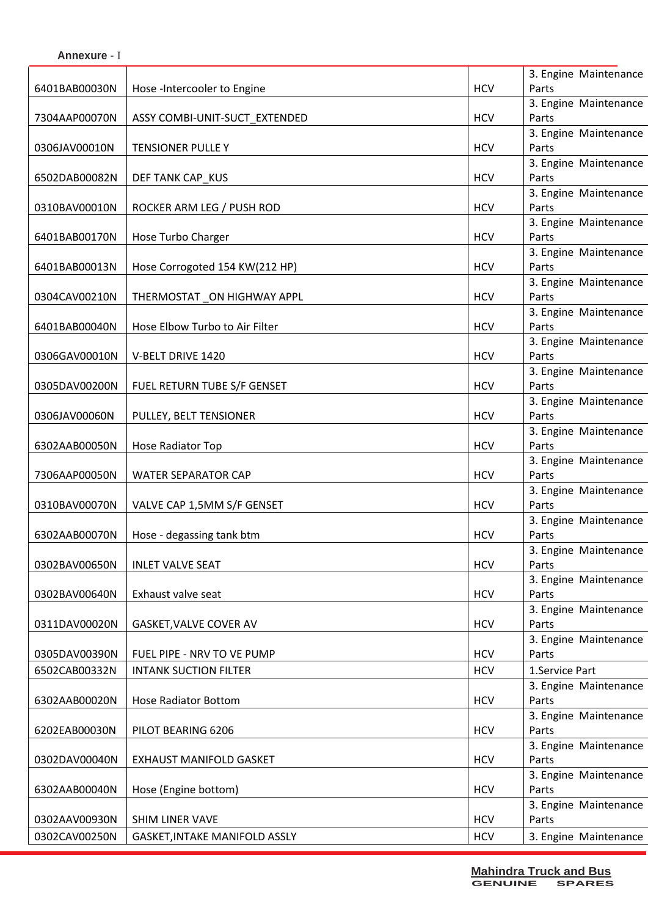|               |                                |            | 3. Engine Maintenance |
|---------------|--------------------------------|------------|-----------------------|
| 6401BAB00030N | Hose -Intercooler to Engine    | <b>HCV</b> | Parts                 |
|               |                                |            | 3. Engine Maintenance |
| 7304AAP00070N | ASSY COMBI-UNIT-SUCT_EXTENDED  | <b>HCV</b> | Parts                 |
|               |                                |            | 3. Engine Maintenance |
| 0306JAV00010N | TENSIONER PULLE Y              | <b>HCV</b> | Parts                 |
|               |                                |            | 3. Engine Maintenance |
| 6502DAB00082N | DEF TANK CAP_KUS               | <b>HCV</b> | Parts                 |
|               |                                |            | 3. Engine Maintenance |
| 0310BAV00010N | ROCKER ARM LEG / PUSH ROD      | <b>HCV</b> | Parts                 |
|               |                                |            | 3. Engine Maintenance |
| 6401BAB00170N | Hose Turbo Charger             | <b>HCV</b> | Parts                 |
|               |                                |            | 3. Engine Maintenance |
| 6401BAB00013N | Hose Corrogoted 154 KW(212 HP) | <b>HCV</b> | Parts                 |
|               |                                |            | 3. Engine Maintenance |
| 0304CAV00210N | THERMOSTAT_ON HIGHWAY APPL     | <b>HCV</b> | Parts                 |
|               |                                |            | 3. Engine Maintenance |
| 6401BAB00040N | Hose Elbow Turbo to Air Filter | <b>HCV</b> | Parts                 |
|               |                                |            | 3. Engine Maintenance |
| 0306GAV00010N | V-BELT DRIVE 1420              | <b>HCV</b> | Parts                 |
|               |                                |            | 3. Engine Maintenance |
| 0305DAV00200N | FUEL RETURN TUBE S/F GENSET    | <b>HCV</b> | Parts                 |
|               |                                |            | 3. Engine Maintenance |
| 0306JAV00060N | PULLEY, BELT TENSIONER         | <b>HCV</b> | Parts                 |
|               |                                |            | 3. Engine Maintenance |
| 6302AAB00050N | Hose Radiator Top              | <b>HCV</b> | Parts                 |
|               |                                |            | 3. Engine Maintenance |
| 7306AAP00050N | <b>WATER SEPARATOR CAP</b>     | <b>HCV</b> | Parts                 |
|               |                                |            | 3. Engine Maintenance |
| 0310BAV00070N | VALVE CAP 1,5MM S/F GENSET     | <b>HCV</b> | Parts                 |
|               |                                |            | 3. Engine Maintenance |
| 6302AAB00070N | Hose - degassing tank btm      | <b>HCV</b> | Parts                 |
|               |                                |            | 3. Engine Maintenance |
| 0302BAV00650N | <b>INLET VALVE SEAT</b>        | <b>HCV</b> | Parts                 |
|               |                                |            | 3. Engine Maintenance |
| 0302BAV00640N | Exhaust valve seat             | <b>HCV</b> | Parts                 |
|               |                                |            | 3. Engine Maintenance |
| 0311DAV00020N | GASKET, VALVE COVER AV         | <b>HCV</b> | Parts                 |
|               |                                |            | 3. Engine Maintenance |
| 0305DAV00390N | FUEL PIPE - NRV TO VE PUMP     | <b>HCV</b> | Parts                 |
| 6502CAB00332N | <b>INTANK SUCTION FILTER</b>   | <b>HCV</b> | 1.Service Part        |
|               |                                |            | 3. Engine Maintenance |
| 6302AAB00020N | <b>Hose Radiator Bottom</b>    | <b>HCV</b> | Parts                 |
|               |                                |            | 3. Engine Maintenance |
| 6202EAB00030N | PILOT BEARING 6206             | <b>HCV</b> | Parts                 |
|               |                                |            | 3. Engine Maintenance |
| 0302DAV00040N | <b>EXHAUST MANIFOLD GASKET</b> | <b>HCV</b> | Parts                 |
|               |                                |            | 3. Engine Maintenance |
| 6302AAB00040N | Hose (Engine bottom)           | <b>HCV</b> | Parts                 |
|               |                                |            | 3. Engine Maintenance |
| 0302AAV00930N | SHIM LINER VAVE                | <b>HCV</b> | Parts                 |
|               |                                |            |                       |
| 0302CAV00250N | GASKET, INTAKE MANIFOLD ASSLY  | <b>HCV</b> | 3. Engine Maintenance |

**Annexure** - I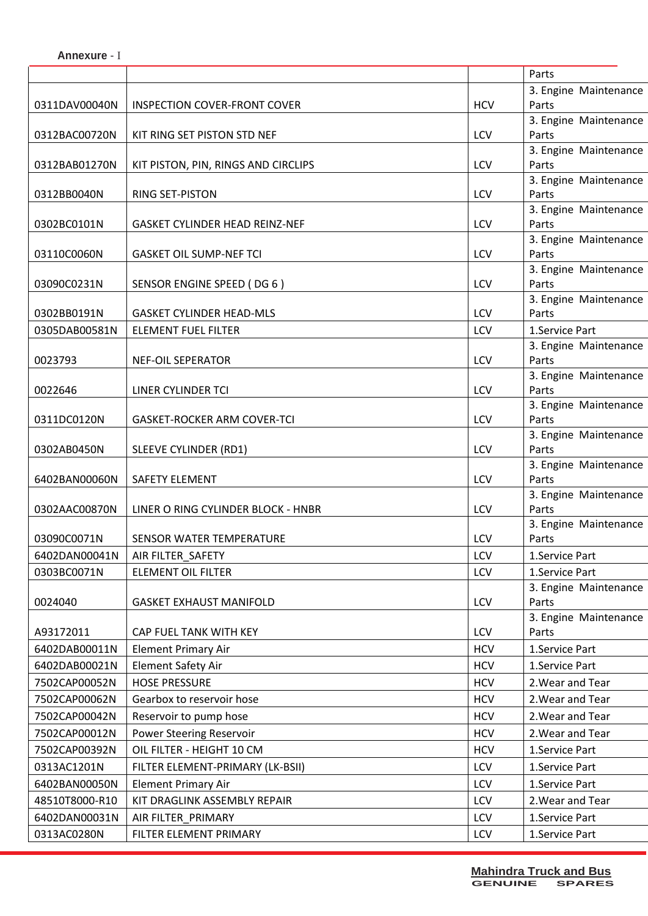**Annexure** - I

|                |                                       |            | Parts                          |
|----------------|---------------------------------------|------------|--------------------------------|
|                |                                       |            | 3. Engine Maintenance          |
| 0311DAV00040N  | <b>INSPECTION COVER-FRONT COVER</b>   | <b>HCV</b> | Parts                          |
|                |                                       |            | 3. Engine Maintenance          |
| 0312BAC00720N  | KIT RING SET PISTON STD NEF           | LCV        | Parts                          |
| 0312BAB01270N  |                                       | LCV        | 3. Engine Maintenance<br>Parts |
|                | KIT PISTON, PIN, RINGS AND CIRCLIPS   |            | 3. Engine Maintenance          |
| 0312BB0040N    | RING SET-PISTON                       | LCV        | Parts                          |
|                |                                       |            | 3. Engine Maintenance          |
| 0302BC0101N    | <b>GASKET CYLINDER HEAD REINZ-NEF</b> | LCV        | Parts                          |
|                |                                       |            | 3. Engine Maintenance          |
| 03110C0060N    | <b>GASKET OIL SUMP-NEF TCI</b>        | LCV        | Parts                          |
|                |                                       |            | 3. Engine Maintenance          |
| 03090C0231N    | SENSOR ENGINE SPEED (DG 6)            | LCV        | Parts                          |
| 0302BB0191N    | <b>GASKET CYLINDER HEAD-MLS</b>       | LCV        | 3. Engine Maintenance<br>Parts |
| 0305DAB00581N  | <b>ELEMENT FUEL FILTER</b>            | LCV        | 1.Service Part                 |
|                |                                       |            | 3. Engine Maintenance          |
| 0023793        | <b>NEF-OIL SEPERATOR</b>              | LCV        | Parts                          |
|                |                                       |            | 3. Engine Maintenance          |
| 0022646        | LINER CYLINDER TCI                    | LCV        | Parts                          |
|                |                                       |            | 3. Engine Maintenance          |
| 0311DC0120N    | <b>GASKET-ROCKER ARM COVER-TCI</b>    | LCV        | Parts                          |
|                |                                       |            | 3. Engine Maintenance          |
| 0302AB0450N    | SLEEVE CYLINDER (RD1)                 | LCV        | Parts                          |
|                |                                       |            | 3. Engine Maintenance          |
| 6402BAN00060N  | SAFETY ELEMENT                        | LCV        | Parts<br>3. Engine Maintenance |
| 0302AAC00870N  | LINER O RING CYLINDER BLOCK - HNBR    | <b>LCV</b> | Parts                          |
|                |                                       |            | 3. Engine Maintenance          |
| 03090C0071N    | SENSOR WATER TEMPERATURE              | <b>LCV</b> | Parts                          |
| 6402DAN00041N  | AIR FILTER_SAFETY                     | LCV        | 1.Service Part                 |
| 0303BC0071N    | <b>ELEMENT OIL FILTER</b>             | LCV        | 1.Service Part                 |
|                |                                       |            | 3. Engine Maintenance          |
| 0024040        | <b>GASKET EXHAUST MANIFOLD</b>        | <b>LCV</b> | Parts                          |
|                |                                       |            | 3. Engine Maintenance          |
| A93172011      | CAP FUEL TANK WITH KEY                | LCV        | Parts                          |
| 6402DAB00011N  | <b>Element Primary Air</b>            | <b>HCV</b> | 1.Service Part                 |
| 6402DAB00021N  | <b>Element Safety Air</b>             | <b>HCV</b> | 1.Service Part                 |
| 7502CAP00052N  | <b>HOSE PRESSURE</b>                  | <b>HCV</b> | 2. Wear and Tear               |
| 7502CAP00062N  | Gearbox to reservoir hose             | <b>HCV</b> | 2. Wear and Tear               |
| 7502CAP00042N  | Reservoir to pump hose                | <b>HCV</b> | 2. Wear and Tear               |
| 7502CAP00012N  | Power Steering Reservoir              | <b>HCV</b> | 2. Wear and Tear               |
| 7502CAP00392N  | OIL FILTER - HEIGHT 10 CM             | <b>HCV</b> | 1.Service Part                 |
| 0313AC1201N    | FILTER ELEMENT-PRIMARY (LK-BSII)      | LCV        | 1.Service Part                 |
| 6402BAN00050N  | <b>Element Primary Air</b>            | LCV        | 1.Service Part                 |
| 48510T8000-R10 | KIT DRAGLINK ASSEMBLY REPAIR          | LCV        | 2. Wear and Tear               |
| 6402DAN00031N  | AIR FILTER_PRIMARY                    | <b>LCV</b> | 1.Service Part                 |
| 0313AC0280N    | FILTER ELEMENT PRIMARY                | LCV        | 1.Service Part                 |
|                |                                       |            |                                |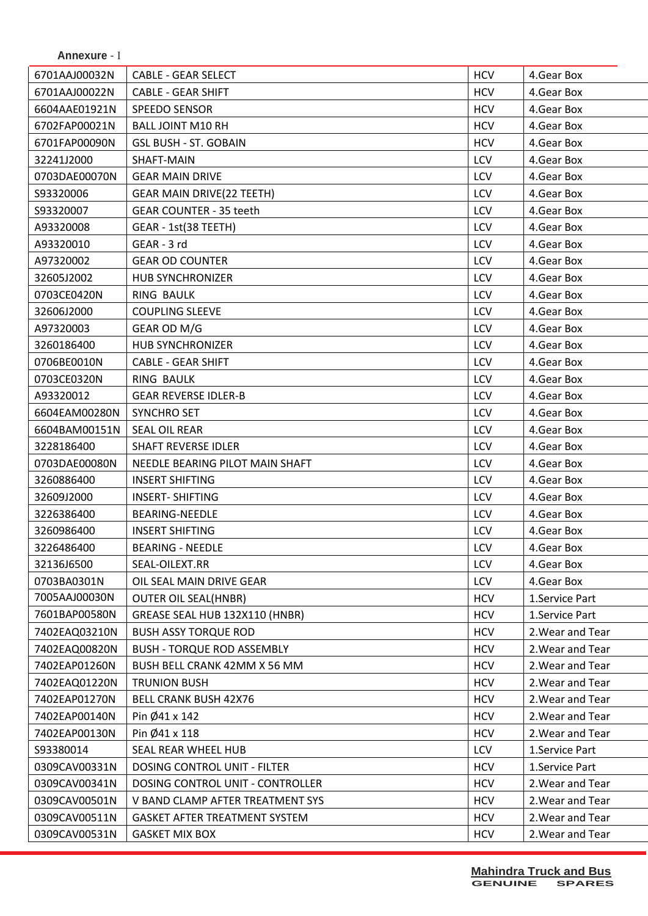| 6701AAJ00032N | <b>CABLE - GEAR SELECT</b>        | <b>HCV</b> | 4. Gear Box      |
|---------------|-----------------------------------|------------|------------------|
| 6701AAJ00022N | <b>CABLE - GEAR SHIFT</b>         | <b>HCV</b> | 4. Gear Box      |
| 6604AAE01921N | <b>SPEEDO SENSOR</b>              | <b>HCV</b> | 4.Gear Box       |
| 6702FAP00021N | <b>BALL JOINT M10 RH</b>          | <b>HCV</b> | 4.Gear Box       |
| 6701FAP00090N | <b>GSL BUSH - ST. GOBAIN</b>      | <b>HCV</b> | 4. Gear Box      |
| 32241J2000    | SHAFT-MAIN                        | LCV        | 4. Gear Box      |
| 0703DAE00070N | <b>GEAR MAIN DRIVE</b>            | <b>LCV</b> | 4.Gear Box       |
| S93320006     | <b>GEAR MAIN DRIVE(22 TEETH)</b>  | <b>LCV</b> | 4. Gear Box      |
| S93320007     | <b>GEAR COUNTER - 35 teeth</b>    | LCV        | 4.Gear Box       |
| A93320008     | GEAR - 1st(38 TEETH)              | <b>LCV</b> | 4.Gear Box       |
| A93320010     | GEAR - 3 rd                       | LCV        | 4.Gear Box       |
| A97320002     | <b>GEAR OD COUNTER</b>            | LCV        | 4.Gear Box       |
| 32605J2002    | <b>HUB SYNCHRONIZER</b>           | LCV        | 4. Gear Box      |
| 0703CE0420N   | <b>RING BAULK</b>                 | LCV        | 4.Gear Box       |
| 32606J2000    | <b>COUPLING SLEEVE</b>            | <b>LCV</b> | 4. Gear Box      |
| A97320003     | GEAR OD M/G                       | LCV        | 4.Gear Box       |
| 3260186400    | <b>HUB SYNCHRONIZER</b>           | LCV        | 4.Gear Box       |
| 0706BE0010N   | <b>CABLE - GEAR SHIFT</b>         | LCV        | 4.Gear Box       |
| 0703CE0320N   | <b>RING BAULK</b>                 | LCV        | 4.Gear Box       |
| A93320012     | <b>GEAR REVERSE IDLER-B</b>       | LCV        | 4. Gear Box      |
| 6604EAM00280N | <b>SYNCHRO SET</b>                | LCV        | 4.Gear Box       |
| 6604BAM00151N | SEAL OIL REAR                     | <b>LCV</b> | 4.Gear Box       |
| 3228186400    | <b>SHAFT REVERSE IDLER</b>        | LCV        | 4.Gear Box       |
| 0703DAE00080N | NEEDLE BEARING PILOT MAIN SHAFT   | LCV        | 4.Gear Box       |
| 3260886400    | <b>INSERT SHIFTING</b>            | LCV        | 4. Gear Box      |
| 32609J2000    | <b>INSERT- SHIFTING</b>           | LCV        | 4.Gear Box       |
| 3226386400    | BEARING-NEEDLE                    | <b>LCV</b> | 4. Gear Box      |
| 3260986400    | <b>INSERT SHIFTING</b>            | LCV        | 4.Gear Box       |
| 3226486400    | <b>BEARING - NEEDLE</b>           | LCV        | 4. Gear Box      |
| 32136J6500    | SEAL-OILEXT.RR                    | <b>LCV</b> | 4. Gear Box      |
| 0703BA0301N   | OIL SEAL MAIN DRIVE GEAR          | <b>LCV</b> | 4. Gear Box      |
| 7005AAJ00030N | <b>OUTER OIL SEAL(HNBR)</b>       | <b>HCV</b> | 1.Service Part   |
| 7601BAP00580N | GREASE SEAL HUB 132X110 (HNBR)    | <b>HCV</b> | 1.Service Part   |
| 7402EAQ03210N | <b>BUSH ASSY TORQUE ROD</b>       | <b>HCV</b> | 2. Wear and Tear |
| 7402EAQ00820N | <b>BUSH - TORQUE ROD ASSEMBLY</b> | <b>HCV</b> | 2. Wear and Tear |
| 7402EAP01260N | BUSH BELL CRANK 42MM X 56 MM      | <b>HCV</b> | 2. Wear and Tear |
| 7402EAQ01220N | <b>TRUNION BUSH</b>               | <b>HCV</b> | 2. Wear and Tear |
| 7402EAP01270N | <b>BELL CRANK BUSH 42X76</b>      | <b>HCV</b> | 2. Wear and Tear |
| 7402EAP00140N | Pin $\emptyset$ 41 x 142          | <b>HCV</b> | 2. Wear and Tear |
| 7402EAP00130N | Pin Ø41 x 118                     | <b>HCV</b> | 2. Wear and Tear |
| S93380014     | SEAL REAR WHEEL HUB               | <b>LCV</b> | 1.Service Part   |
| 0309CAV00331N | DOSING CONTROL UNIT - FILTER      | <b>HCV</b> | 1.Service Part   |
| 0309CAV00341N | DOSING CONTROL UNIT - CONTROLLER  | <b>HCV</b> | 2. Wear and Tear |
| 0309CAV00501N | V BAND CLAMP AFTER TREATMENT SYS  | <b>HCV</b> | 2. Wear and Tear |
| 0309CAV00511N | GASKET AFTER TREATMENT SYSTEM     | <b>HCV</b> | 2. Wear and Tear |
| 0309CAV00531N | <b>GASKET MIX BOX</b>             | <b>HCV</b> | 2. Wear and Tear |
|               |                                   |            |                  |

**Annexure** - I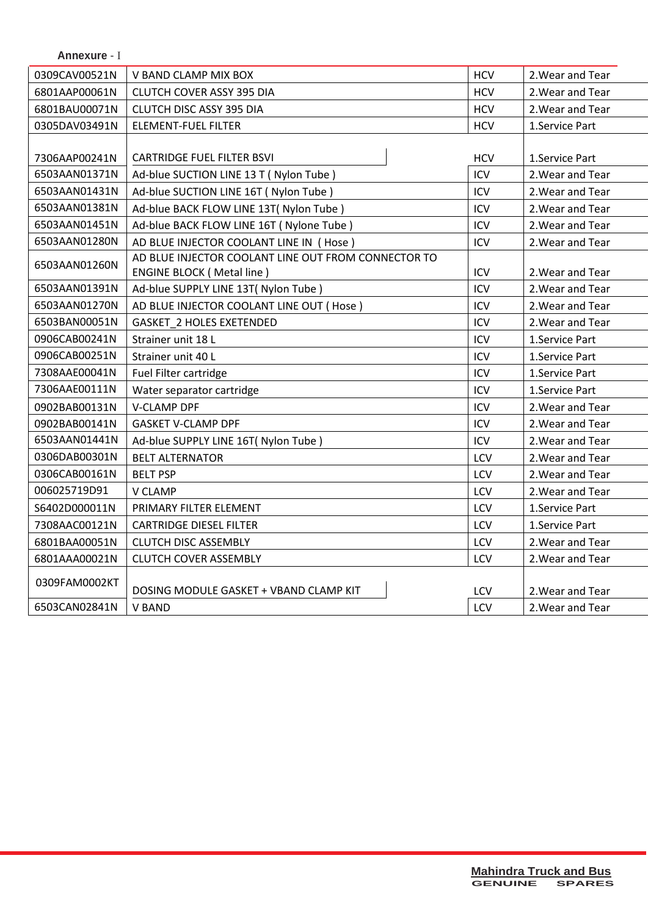| <b>Annexure - I</b> |                                                     |            |                  |
|---------------------|-----------------------------------------------------|------------|------------------|
| 0309CAV00521N       | V BAND CLAMP MIX BOX                                | <b>HCV</b> | 2. Wear and Tear |
| 6801AAP00061N       | <b>CLUTCH COVER ASSY 395 DIA</b>                    |            | 2. Wear and Tear |
| 6801BAU00071N       | <b>CLUTCH DISC ASSY 395 DIA</b>                     |            | 2. Wear and Tear |
| 0305DAV03491N       | <b>ELEMENT-FUEL FILTER</b>                          | <b>HCV</b> | 1.Service Part   |
|                     |                                                     |            |                  |
| 7306AAP00241N       | <b>CARTRIDGE FUEL FILTER BSVI</b>                   | <b>HCV</b> | 1.Service Part   |
| 6503AAN01371N       | Ad-blue SUCTION LINE 13 T (Nylon Tube)              | ICV        | 2. Wear and Tear |
| 6503AAN01431N       | Ad-blue SUCTION LINE 16T (Nylon Tube)               | ICV        | 2. Wear and Tear |
| 6503AAN01381N       | Ad-blue BACK FLOW LINE 13T( Nylon Tube)             | ICV        | 2. Wear and Tear |
| 6503AAN01451N       | Ad-blue BACK FLOW LINE 16T (Nylone Tube)            | ICV        | 2. Wear and Tear |
| 6503AAN01280N       | AD BLUE INJECTOR COOLANT LINE IN (Hose)             | ICV        | 2. Wear and Tear |
| 6503AAN01260N       | AD BLUE INJECTOR COOLANT LINE OUT FROM CONNECTOR TO |            |                  |
|                     | <b>ENGINE BLOCK (Metal line)</b>                    | ICV        | 2. Wear and Tear |
| 6503AAN01391N       | Ad-blue SUPPLY LINE 13T( Nylon Tube )               | ICV        | 2. Wear and Tear |
| 6503AAN01270N       | AD BLUE INJECTOR COOLANT LINE OUT (Hose)            | ICV        | 2. Wear and Tear |
| 6503BAN00051N       | <b>GASKET 2 HOLES EXETENDED</b>                     | ICV        | 2. Wear and Tear |
| 0906CAB00241N       | Strainer unit 18 L                                  | ICV        | 1.Service Part   |
| 0906CAB00251N       | Strainer unit 40 L                                  | ICV        | 1.Service Part   |
| 7308AAE00041N       | Fuel Filter cartridge                               | ICV        | 1. Service Part  |
| 7306AAE00111N       | Water separator cartridge                           | ICV        | 1.Service Part   |
| 0902BAB00131N       | <b>V-CLAMP DPF</b>                                  | ICV        | 2. Wear and Tear |
| 0902BAB00141N       | <b>GASKET V-CLAMP DPF</b>                           | ICV        | 2. Wear and Tear |
| 6503AAN01441N       | Ad-blue SUPPLY LINE 16T( Nylon Tube )               | ICV        | 2. Wear and Tear |
| 0306DAB00301N       | <b>BELT ALTERNATOR</b>                              | LCV        | 2. Wear and Tear |
| 0306CAB00161N       | <b>BELT PSP</b>                                     | LCV        | 2. Wear and Tear |
| 006025719D91        | V CLAMP                                             | LCV        | 2. Wear and Tear |
| S6402D000011N       | PRIMARY FILTER ELEMENT                              | LCV        | 1.Service Part   |
| 7308AAC00121N       | <b>CARTRIDGE DIESEL FILTER</b>                      | LCV        | 1.Service Part   |
| 6801BAA00051N       | <b>CLUTCH DISC ASSEMBLY</b>                         | LCV        | 2. Wear and Tear |
| 6801AAA00021N       | <b>CLUTCH COVER ASSEMBLY</b>                        | LCV        | 2. Wear and Tear |
|                     |                                                     |            |                  |
| 0309FAM0002KT       | DOSING MODULE GASKET + VBAND CLAMP KIT              | LCV        | 2. Wear and Tear |
| 6503CAN02841N       | <b>V BAND</b>                                       | LCV        | 2. Wear and Tear |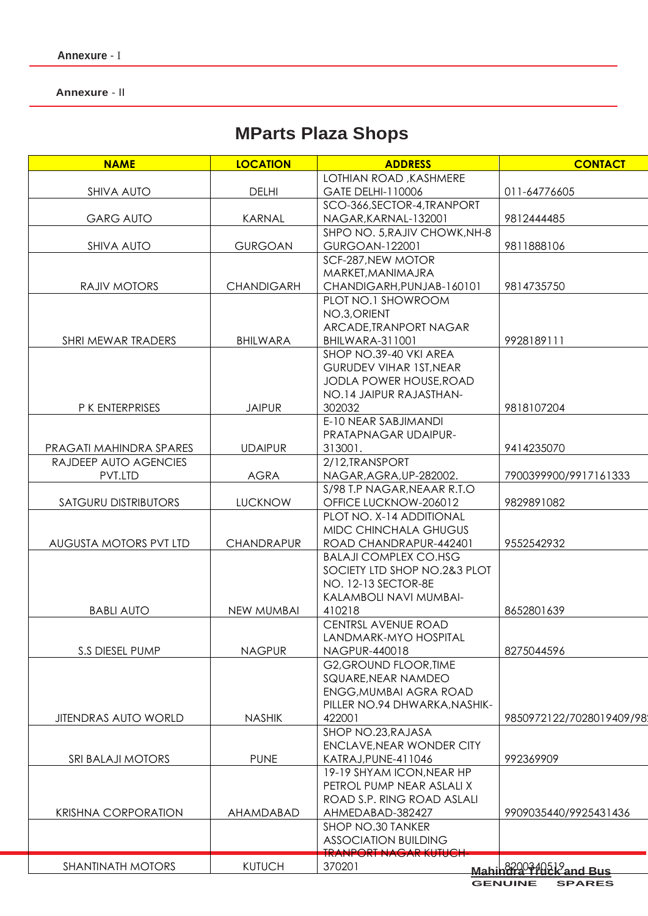**Annexure** - II

# **MParts Plaza Shops**

| <b>NAME</b>                 | <b>LOCATION</b>   | <b>ADDRESS</b>                 | <b>CONTACT</b>                                              |
|-----------------------------|-------------------|--------------------------------|-------------------------------------------------------------|
|                             |                   | LOTHIAN ROAD, KASHMERE         |                                                             |
| <b>SHIVA AUTO</b>           | <b>DELHI</b>      | GATE DELHI-110006              | 011-64776605                                                |
|                             |                   | SCO-366, SECTOR-4, TRANPORT    |                                                             |
| <b>GARG AUTO</b>            | <b>KARNAL</b>     | NAGAR, KARNAL-132001           | 9812444485                                                  |
|                             |                   | SHPO NO. 5, RAJIV CHOWK, NH-8  |                                                             |
| <b>SHIVA AUTO</b>           | <b>GURGOAN</b>    | GURGOAN-122001                 | 9811888106                                                  |
|                             |                   | SCF-287, NEW MOTOR             |                                                             |
|                             |                   | MARKET, MANIMAJRA              |                                                             |
| RAJIV MOTORS                | <b>CHANDIGARH</b> | CHANDIGARH, PUNJAB-160101      | 9814735750                                                  |
|                             |                   | PLOT NO.1 SHOWROOM             |                                                             |
|                             |                   | NO.3, ORIENT                   |                                                             |
|                             |                   | ARCADE, TRANPORT NAGAR         |                                                             |
| SHRI MEWAR TRADERS          | <b>BHILWARA</b>   | BHILWARA-311001                | 9928189111                                                  |
|                             |                   | SHOP NO.39-40 VKI AREA         |                                                             |
|                             |                   | <b>GURUDEV VIHAR 1ST, NEAR</b> |                                                             |
|                             |                   | JODLA POWER HOUSE, ROAD        |                                                             |
|                             |                   | NO.14 JAIPUR RAJASTHAN-        |                                                             |
| P K ENTERPRISES             | <b>JAIPUR</b>     | 302032                         | 9818107204                                                  |
|                             |                   | E-10 NEAR SABJIMANDI           |                                                             |
|                             |                   | PRATAPNAGAR UDAIPUR-           |                                                             |
| PRAGATI MAHINDRA SPARES     | <b>UDAIPUR</b>    | 313001.                        | 9414235070                                                  |
| RAJDEEP AUTO AGENCIES       |                   | 2/12.TRANSPORT                 |                                                             |
| PVT.LTD                     | <b>AGRA</b>       | NAGAR, AGRA, UP-282002.        | 7900399900/9917161333                                       |
|                             |                   | S/98 T.P NAGAR, NEAAR R.T.O    |                                                             |
| <b>SATGURU DISTRIBUTORS</b> | <b>LUCKNOW</b>    | OFFICE LUCKNOW-206012          | 9829891082                                                  |
|                             |                   | PLOT NO. X-14 ADDITIONAL       |                                                             |
|                             |                   | MIDC CHINCHALA GHUGUS          |                                                             |
| AUGUSTA MOTORS PVT LTD      | <b>CHANDRAPUR</b> | ROAD CHANDRAPUR-442401         | 9552542932                                                  |
|                             |                   |                                |                                                             |
|                             |                   | <b>BALAJI COMPLEX CO.HSG</b>   |                                                             |
|                             |                   | SOCIETY LTD SHOP NO.2&3 PLOT   |                                                             |
|                             |                   | NO. 12-13 SECTOR-8E            |                                                             |
|                             |                   | KALAMBOLI NAVI MUMBAI-         |                                                             |
| <b>BABLI AUTO</b>           | NEW MUMBAI        | 410218                         | 8652801639                                                  |
|                             |                   | <b>CENTRSL AVENUE ROAD</b>     |                                                             |
|                             |                   | LANDMARK-MYO HOSPITAL          |                                                             |
| S.S DIESEL PUMP             | <b>NAGPUR</b>     | NAGPUR-440018                  | 8275044596                                                  |
|                             |                   | <b>G2, GROUND FLOOR, TIME</b>  |                                                             |
|                             |                   | SQUARE, NEAR NAMDEO            |                                                             |
|                             |                   | ENGG, MUMBAI AGRA ROAD         |                                                             |
|                             |                   | PILLER NO.94 DHWARKA, NASHIK-  |                                                             |
| <b>JITENDRAS AUTO WORLD</b> | <b>NASHIK</b>     | 422001                         | 9850972122/7028019409/98                                    |
|                             |                   | SHOP NO.23, RAJASA             |                                                             |
|                             |                   | ENCLAVE, NEAR WONDER CITY      |                                                             |
| SRI BALAJI MOTORS           | <b>PUNE</b>       | KATRAJ, PUNE-411046            | 992369909                                                   |
|                             |                   | 19-19 SHYAM ICON, NEAR HP      |                                                             |
|                             |                   | PETROL PUMP NEAR ASLALI X      |                                                             |
|                             |                   | ROAD S.P. RING ROAD ASLALI     |                                                             |
| <b>KRISHNA CORPORATION</b>  | AHAMDABAD         | AHMEDABAD-382427               | 9909035440/9925431436                                       |
|                             |                   | SHOP NO.30 TANKER              |                                                             |
|                             |                   | <b>ASSOCIATION BUILDING</b>    |                                                             |
|                             |                   | <b>TRANPORT NAGAR KUTUCH</b>   |                                                             |
| <b>SHANTINATH MOTORS</b>    | <b>KUTUCH</b>     | 370201                         | Mahin <del>er 2<sup>9</sup>10</del> 2k <sup>9</sup> and Bus |
|                             |                   |                                |                                                             |